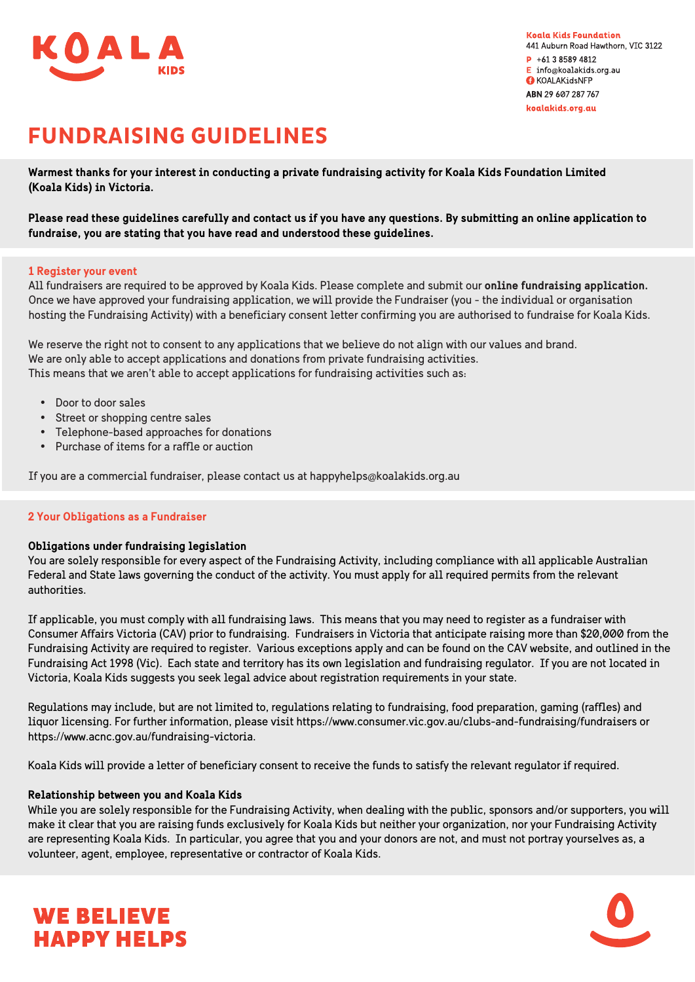

**Koala Kids Foundation** 441 Auburn Road Hawthorn, VIC 3122  $P$  +61 3 8589 4812  $\mathsf{E}$  info@koalakids.org.au **O** KOALAKidsNFP ABN 29 607 287 767 koalakids.org.au

# **FUNDRAISING GUIDELINES**

Warmest thanks for your interest in conducting a private fundraising activity for Koala Kids Foundation Limited (Koala Kids) in Victoria.

Please read these guidelines carefully and contact us if you have any questions. By submitting an online application to fundraise, you are stating that you have read and understood these guidelines.

# 1 Register your event

All fundraisers are required to be approved by Koala Kids. Please complete and submit our online fundraising application. Once we have approved your fundraising application, we will provide the Fundraiser (you - the individual or organisation hosting the Fundraising Activity) with a beneficiary consent letter confirming you are authorised to fundraise for Koala Kids.

We reserve the right not to consent to any applications that we believe do not align with our values and brand. We are only able to accept applications and donations from private fundraising activities. This means that we aren't able to accept applications for fundraising activities such as:

- Door to door sales
- Street or shopping centre sales
- Telephone-based approaches for donations
- Purchase of items for a raffle or auction

If you are a commercial fundraiser, please contact us at happyhelps@koalakids.org.au

# 2 Your Obligations as a Fundraiser

# Obligations under fundraising legislation

You are solely responsible for every aspect of the Fundraising Activity, including compliance with all applicable Australian Federal and State laws governing the conduct of the activity. You must apply for all required permits from the relevant authorities.

If applicable, you must comply with all fundraising laws. This means that you may need to register as a fundraiser with Consumer Affairs Victoria (CAV) prior to fundraising. Fundraisers in Victoria that anticipate raising more than \$20,000 from the Fundraising Activity are required to register. Various exceptions apply and can be found on the CAV website, and outlined in the Fundraising Act 1998 (Vic). Each state and territory has its own legislation and fundraising regulator. If you are not located in Victoria, Koala Kids suggests you seek legal advice about registration requirements in your state.

Requlations may include, but are not limited to, requlations relating to fundraising, food preparation, gaming (raffles) and liquor licensing. For further information, please visit https://www.consumer.vic.gov.au/clubs-and-fundraising/fundraisers or https://www.acnc.gov.au/fundraising-victoria.

Koala Kids will provide a letter of beneficiary consent to receive the funds to satisfy the relevant requlator if required.

# Relationship between you and Koala Kids

**WE BELIEVE** 

**HAPPY HELPS** 

While you are solely responsible for the Fundraising Activity, when dealing with the public, sponsors and/or supporters, you will make it clear that you are raising funds exclusively for Koala Kids but neither your organization, nor your Fundraising Activity are representing Koala Kids. In particular, you agree that you and your donors are not, and must not portray yourselves as, a volunteer, agent, employee, representative or contractor of Koala Kids.

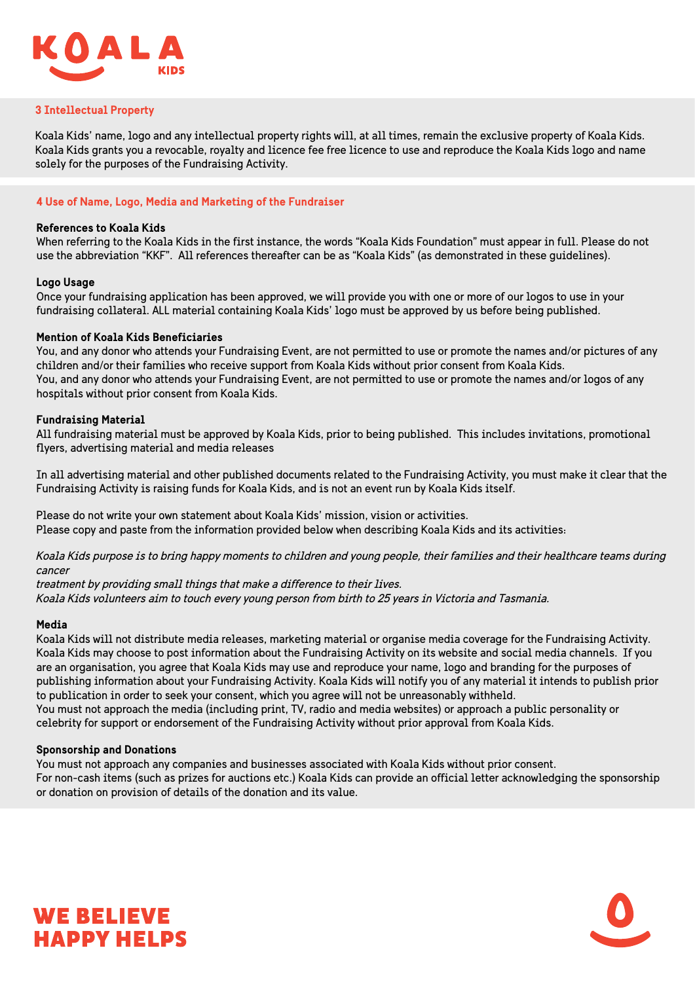

#### **3 Intellectual Property**

Koala Kids' name, logo and any intellectual property rights will, at all times, remain the exclusive property of Koala Kids. Koala Kids grants you a revocable, royalty and licence fee free licence to use and reproduce the Koala Kids logo and name solely for the purposes of the Fundraising Activity.

# 4 Use of Name, Logo, Media and Marketing of the Fundraiser

# **References to Koala Kids**

When referring to the Koala Kids in the first instance, the words "Koala Kids Foundation" must appear in full. Please do not use the abbreviation "KKF". All references thereafter can be as "Koala Kids" (as demonstrated in these guidelines).

#### **Logo Usage**

Once your fundraising application has been approved, we will provide you with one or more of our logos to use in your fundraising collateral. ALL material containing Koala Kids' logo must be approved by us before being published.

#### **Mention of Koala Kids Beneficiaries**

You, and any donor who attends your Fundraising Event, are not permitted to use or promote the names and/or pictures of any children and/or their families who receive support from Koala Kids without prior consent from Koala Kids. You, and any donor who attends your Fundraising Event, are not permitted to use or promote the names and/or logos of any hospitals without prior consent from Koala Kids.

# **Fundraising Material**

All fundraising material must be approved by Koala Kids, prior to being published. This includes invitations, promotional flyers, advertising material and media releases

In all advertising material and other published documents related to the Fundraising Activity, you must make it clear that the Fundraising Activity is raising funds for Koala Kids, and is not an event run by Koala Kids itself.

Please do not write your own statement about Koala Kids' mission, vision or activities. Please copy and paste from the information provided below when describing Koala Kids and its activities:

Koala Kids purpose is to bring happy moments to children and young people, their families and their healthcare teams during cancer

treatment by providing small things that make a difference to their lives. Koala Kids volunteers aim to touch every young person from birth to 25 years in Victoria and Tasmania.

#### Media

Koala Kids will not distribute media releases, marketing material or organise media coverage for the Fundraising Activity. Koala Kids may choose to post information about the Fundraising Activity on its website and social media channels. If you are an organisation, you agree that Koala Kids may use and reproduce your name, logo and branding for the purposes of publishing information about your Fundraising Activity. Koala Kids will notify you of any material it intends to publish prior to publication in order to seek your consent, which you agree will not be unreasonably withheld.

You must not approach the media (including print, TV, radio and media websites) or approach a public personality or celebrity for support or endorsement of the Fundraising Activity without prior approval from Koala Kids.

# **Sponsorship and Donations**

You must not approach any companies and businesses associated with Koala Kids without prior consent. For non-cash items (such as prizes for auctions etc.) Koala Kids can provide an official letter acknowledging the sponsorship or donation on provision of details of the donation and its value.